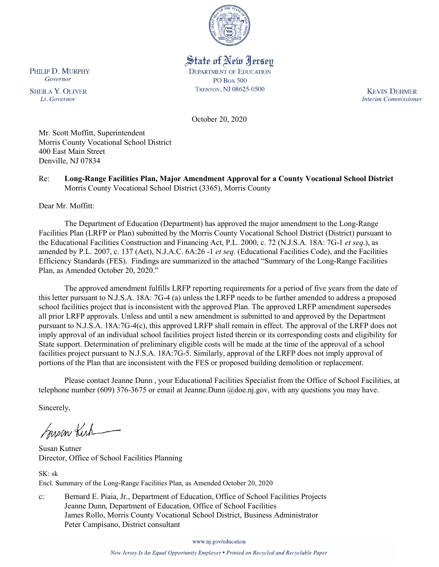

# State of New Jersey

**DEPARTMENT OF EDUCATION PO Box 500** TRENTON, NJ 08625-0500

**KEVIN DEHMER Interim Commissioner** 

October 20, 2020

Mr. Scott Moffitt, Superintendent Morris County Vocational School District 400 East Main Street Denville, NJ 07834

#### Re: **Long-Range Facilities Plan, Major Amendment Approval for a County Vocational School District** Morris County Vocational School District (3365), Morris County

Dear Mr. Moffitt:

The Department of Education (Department) has approved the major amendment to the Long-Range Facilities Plan (LRFP or Plan) submitted by the Morris County Vocational School District (District) pursuant to the Educational Facilities Construction and Financing Act, P.L. 2000, c. 72 (N.J.S.A. 18A: 7G-1 *et seq.*), as amended by P.L. 2007, c. 137 (Act), N.J.A.C. 6A:26 -1 *et seq.* (Educational Facilities Code), and the Facilities Efficiency Standards (FES). Findings are summarized in the attached "Summary of the Long-Range Facilities Plan, as Amended October 20, 2020."

The approved amendment fulfills LRFP reporting requirements for a period of five years from the date of this letter pursuant to N.J.S.A. 18A: 7G-4 (a) unless the LRFP needs to be further amended to address a proposed school facilities project that is inconsistent with the approved Plan. The approved LRFP amendment supersedes all prior LRFP approvals. Unless and until a new amendment is submitted to and approved by the Department pursuant to N.J.S.A. 18A:7G-4(c), this approved LRFP shall remain in effect. The approval of the LRFP does not imply approval of an individual school facilities project listed therein or its corresponding costs and eligibility for State support. Determination of preliminary eligible costs will be made at the time of the approval of a school facilities project pursuant to N.J.S.A. 18A:7G-5. Similarly, approval of the LRFP does not imply approval of portions of the Plan that are inconsistent with the FES or proposed building demolition or replacement.

Please contact Jeanne Dunn , your Educational Facilities Specialist from the Office of School Facilities, at telephone number (609) 376-3675 or email at Jeanne.Dunn @doe.nj.gov, with any questions you may have.

Sincerely,

Susan Kich

Susan Kutner Director, Office of School Facilities Planning

SK: sk Encl. Summary of the Long-Range Facilities Plan, as Amended October 20, 2020

c: Bernard E. Piaia, Jr., Department of Education, Office of School Facilities Projects Jeanne Dunn, Department of Education, Office of School Facilities James Rollo, Morris County Vocational School District, Business Administrator Peter Campisano, District consultant

www.nj.gov/education

New Jersey Is An Equal Opportunity Employer . Printed on Recycled and Recyclable Paper

PHILIP D. MURPHY Governor

**SHEILA Y. OLIVER** Lt. Governor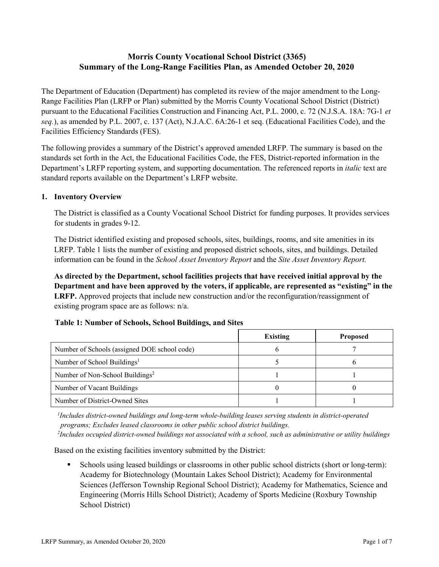## **Morris County Vocational School District (3365) Summary of the Long-Range Facilities Plan, as Amended October 20, 2020**

The Department of Education (Department) has completed its review of the major amendment to the Long-Range Facilities Plan (LRFP or Plan) submitted by the Morris County Vocational School District (District) pursuant to the Educational Facilities Construction and Financing Act, P.L. 2000, c. 72 (N.J.S.A. 18A: 7G-1 *et seq.*), as amended by P.L. 2007, c. 137 (Act), N.J.A.C. 6A:26-1 et seq. (Educational Facilities Code), and the Facilities Efficiency Standards (FES).

The following provides a summary of the District's approved amended LRFP. The summary is based on the standards set forth in the Act, the Educational Facilities Code, the FES, District-reported information in the Department's LRFP reporting system, and supporting documentation. The referenced reports in *italic* text are standard reports available on the Department's LRFP website.

#### **1. Inventory Overview**

The District is classified as a County Vocational School District for funding purposes. It provides services for students in grades 9-12.

The District identified existing and proposed schools, sites, buildings, rooms, and site amenities in its LRFP. Table 1 lists the number of existing and proposed district schools, sites, and buildings. Detailed information can be found in the *School Asset Inventory Report* and the *Site Asset Inventory Report.*

**As directed by the Department, school facilities projects that have received initial approval by the Department and have been approved by the voters, if applicable, are represented as "existing" in the LRFP.** Approved projects that include new construction and/or the reconfiguration/reassignment of existing program space are as follows: n/a.

|                                              | Existing | <b>Proposed</b> |
|----------------------------------------------|----------|-----------------|
| Number of Schools (assigned DOE school code) |          |                 |
| Number of School Buildings <sup>1</sup>      |          |                 |
| Number of Non-School Buildings <sup>2</sup>  |          |                 |
| Number of Vacant Buildings                   |          |                 |
| Number of District-Owned Sites               |          |                 |

## **Table 1: Number of Schools, School Buildings, and Sites**

*1 Includes district-owned buildings and long-term whole-building leases serving students in district-operated programs; Excludes leased classrooms in other public school district buildings.*

*2 Includes occupied district-owned buildings not associated with a school, such as administrative or utility buildings*

Based on the existing facilities inventory submitted by the District:

 Schools using leased buildings or classrooms in other public school districts (short or long-term): Academy for Biotechnology (Mountain Lakes School District); Academy for Environmental Sciences (Jefferson Township Regional School District); Academy for Mathematics, Science and Engineering (Morris Hills School District); Academy of Sports Medicine (Roxbury Township School District)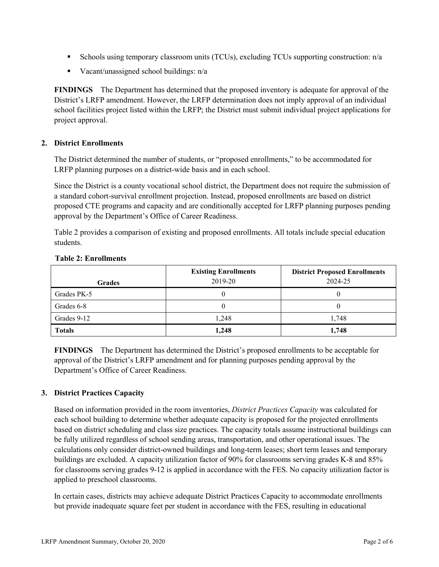- Schools using temporary classroom units (TCUs), excluding TCUs supporting construction:  $n/a$
- Vacant/unassigned school buildings: n/a

**FINDINGS** The Department has determined that the proposed inventory is adequate for approval of the District's LRFP amendment. However, the LRFP determination does not imply approval of an individual school facilities project listed within the LRFP; the District must submit individual project applications for project approval.

#### **2. District Enrollments**

The District determined the number of students, or "proposed enrollments," to be accommodated for LRFP planning purposes on a district-wide basis and in each school.

Since the District is a county vocational school district, the Department does not require the submission of a standard cohort-survival enrollment projection. Instead, proposed enrollments are based on district proposed CTE programs and capacity and are conditionally accepted for LRFP planning purposes pending approval by the Department's Office of Career Readiness.

Table 2 provides a comparison of existing and proposed enrollments. All totals include special education students.

| <b>Grades</b> | <b>Existing Enrollments</b><br>2019-20 | <b>District Proposed Enrollments</b><br>2024-25 |
|---------------|----------------------------------------|-------------------------------------------------|
| Grades PK-5   |                                        | U                                               |
| Grades 6-8    |                                        |                                                 |
| Grades 9-12   | 1,248                                  | 1,748                                           |
| <b>Totals</b> | 1,248                                  | 1,748                                           |

#### **Table 2: Enrollments**

**FINDINGS** The Department has determined the District's proposed enrollments to be acceptable for approval of the District's LRFP amendment and for planning purposes pending approval by the Department's Office of Career Readiness.

## **3. District Practices Capacity**

Based on information provided in the room inventories, *District Practices Capacity* was calculated for each school building to determine whether adequate capacity is proposed for the projected enrollments based on district scheduling and class size practices. The capacity totals assume instructional buildings can be fully utilized regardless of school sending areas, transportation, and other operational issues. The calculations only consider district-owned buildings and long-term leases; short term leases and temporary buildings are excluded. A capacity utilization factor of 90% for classrooms serving grades K-8 and 85% for classrooms serving grades 9-12 is applied in accordance with the FES. No capacity utilization factor is applied to preschool classrooms.

In certain cases, districts may achieve adequate District Practices Capacity to accommodate enrollments but provide inadequate square feet per student in accordance with the FES, resulting in educational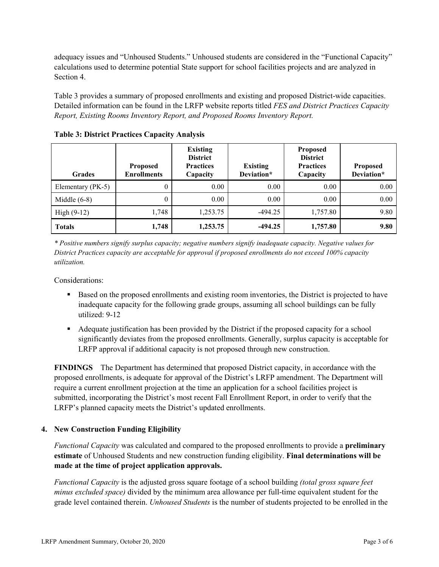adequacy issues and "Unhoused Students." Unhoused students are considered in the "Functional Capacity" calculations used to determine potential State support for school facilities projects and are analyzed in Section 4.

Table 3 provides a summary of proposed enrollments and existing and proposed District-wide capacities. Detailed information can be found in the LRFP website reports titled *FES and District Practices Capacity Report, Existing Rooms Inventory Report, and Proposed Rooms Inventory Report.*

| <b>Grades</b>     | <b>Proposed</b><br><b>Enrollments</b> | <b>Existing</b><br><b>District</b><br><b>Practices</b><br>Capacity | <b>Existing</b><br>Deviation* | <b>Proposed</b><br><b>District</b><br><b>Practices</b><br>Capacity | <b>Proposed</b><br>Deviation* |
|-------------------|---------------------------------------|--------------------------------------------------------------------|-------------------------------|--------------------------------------------------------------------|-------------------------------|
| Elementary (PK-5) | 0                                     | 0.00                                                               | 0.00                          | 0.00                                                               | 0.00                          |
| Middle $(6-8)$    | 0                                     | 0.00                                                               | 0.00                          | 0.00                                                               | 0.00                          |
| High $(9-12)$     | 1,748                                 | 1,253.75                                                           | $-494.25$                     | 1,757.80                                                           | 9.80                          |
| <b>Totals</b>     | 1,748                                 | 1,253.75                                                           | $-494.25$                     | 1,757.80                                                           | 9.80                          |

**Table 3: District Practices Capacity Analysis**

*\* Positive numbers signify surplus capacity; negative numbers signify inadequate capacity. Negative values for District Practices capacity are acceptable for approval if proposed enrollments do not exceed 100% capacity utilization.*

Considerations:

- Based on the proposed enrollments and existing room inventories, the District is projected to have inadequate capacity for the following grade groups, assuming all school buildings can be fully utilized: 9-12
- Adequate justification has been provided by the District if the proposed capacity for a school significantly deviates from the proposed enrollments. Generally, surplus capacity is acceptable for LRFP approval if additional capacity is not proposed through new construction.

**FINDINGS**The Department has determined that proposed District capacity, in accordance with the proposed enrollments, is adequate for approval of the District's LRFP amendment. The Department will require a current enrollment projection at the time an application for a school facilities project is submitted, incorporating the District's most recent Fall Enrollment Report, in order to verify that the LRFP's planned capacity meets the District's updated enrollments.

## **4. New Construction Funding Eligibility**

*Functional Capacity* was calculated and compared to the proposed enrollments to provide a **preliminary estimate** of Unhoused Students and new construction funding eligibility. **Final determinations will be made at the time of project application approvals.**

*Functional Capacity* is the adjusted gross square footage of a school building *(total gross square feet minus excluded space)* divided by the minimum area allowance per full-time equivalent student for the grade level contained therein. *Unhoused Students* is the number of students projected to be enrolled in the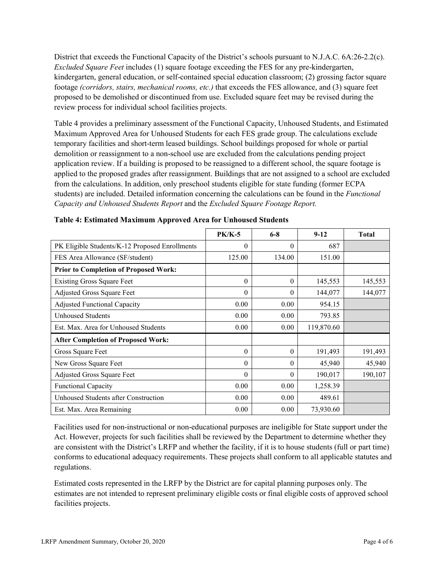District that exceeds the Functional Capacity of the District's schools pursuant to N.J.A.C. 6A:26-2.2(c). *Excluded Square Feet* includes (1) square footage exceeding the FES for any pre-kindergarten, kindergarten, general education, or self-contained special education classroom; (2) grossing factor square footage *(corridors, stairs, mechanical rooms, etc.)* that exceeds the FES allowance, and (3) square feet proposed to be demolished or discontinued from use. Excluded square feet may be revised during the review process for individual school facilities projects.

Table 4 provides a preliminary assessment of the Functional Capacity, Unhoused Students, and Estimated Maximum Approved Area for Unhoused Students for each FES grade group. The calculations exclude temporary facilities and short-term leased buildings. School buildings proposed for whole or partial demolition or reassignment to a non-school use are excluded from the calculations pending project application review. If a building is proposed to be reassigned to a different school, the square footage is applied to the proposed grades after reassignment. Buildings that are not assigned to a school are excluded from the calculations. In addition, only preschool students eligible for state funding (former ECPA students) are included. Detailed information concerning the calculations can be found in the *Functional Capacity and Unhoused Students Report* and the *Excluded Square Footage Report.*

|                                                | <b>PK/K-5</b> | $6 - 8$  | $9 - 12$   | <b>Total</b> |
|------------------------------------------------|---------------|----------|------------|--------------|
| PK Eligible Students/K-12 Proposed Enrollments | $\theta$      | $\Omega$ | 687        |              |
| FES Area Allowance (SF/student)                | 125.00        | 134.00   | 151.00     |              |
| <b>Prior to Completion of Proposed Work:</b>   |               |          |            |              |
| <b>Existing Gross Square Feet</b>              | $\theta$      | $\theta$ | 145,553    | 145,553      |
| Adjusted Gross Square Feet                     | $\theta$      | $\theta$ | 144,077    | 144,077      |
| <b>Adjusted Functional Capacity</b>            | 0.00          | 0.00     | 954.15     |              |
| <b>Unhoused Students</b>                       | 0.00          | 0.00     | 793.85     |              |
| Est. Max. Area for Unhoused Students           | 0.00          | 0.00     | 119,870.60 |              |
| <b>After Completion of Proposed Work:</b>      |               |          |            |              |
| Gross Square Feet                              | $\theta$      | $\theta$ | 191,493    | 191,493      |
| New Gross Square Feet                          | $\theta$      | $\theta$ | 45,940     | 45,940       |
| Adjusted Gross Square Feet                     | $\Omega$      | $\theta$ | 190,017    | 190,107      |
| Functional Capacity                            | 0.00          | 0.00     | 1,258.39   |              |
| Unhoused Students after Construction           | 0.00          | 0.00     | 489.61     |              |
| Est. Max. Area Remaining                       | 0.00          | 0.00     | 73,930.60  |              |

| <b>Table 4: Estimated Maximum Approved Area for Unhoused Students</b> |  |  |
|-----------------------------------------------------------------------|--|--|
|                                                                       |  |  |

Facilities used for non-instructional or non-educational purposes are ineligible for State support under the Act. However, projects for such facilities shall be reviewed by the Department to determine whether they are consistent with the District's LRFP and whether the facility, if it is to house students (full or part time) conforms to educational adequacy requirements. These projects shall conform to all applicable statutes and regulations.

Estimated costs represented in the LRFP by the District are for capital planning purposes only. The estimates are not intended to represent preliminary eligible costs or final eligible costs of approved school facilities projects.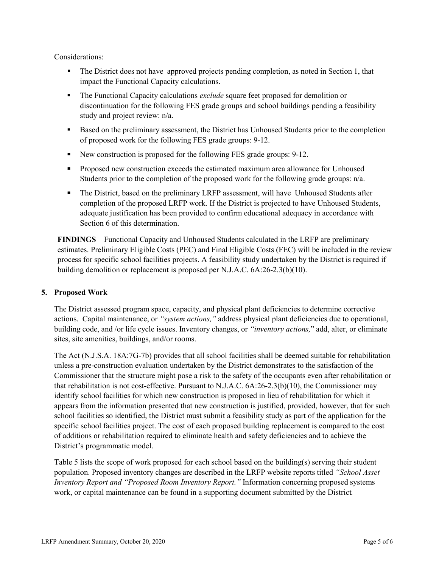Considerations:

- The District does not have approved projects pending completion, as noted in Section 1, that impact the Functional Capacity calculations.
- The Functional Capacity calculations *exclude* square feet proposed for demolition or discontinuation for the following FES grade groups and school buildings pending a feasibility study and project review: n/a.
- **Based on the preliminary assessment, the District has Unhoused Students prior to the completion** of proposed work for the following FES grade groups: 9-12.
- New construction is proposed for the following FES grade groups: 9-12.
- **Proposed new construction exceeds the estimated maximum area allowance for Unhoused** Students prior to the completion of the proposed work for the following grade groups: n/a.
- The District, based on the preliminary LRFP assessment, will have Unhoused Students after completion of the proposed LRFP work. If the District is projected to have Unhoused Students, adequate justification has been provided to confirm educational adequacy in accordance with Section 6 of this determination.

**FINDINGS** Functional Capacity and Unhoused Students calculated in the LRFP are preliminary estimates. Preliminary Eligible Costs (PEC) and Final Eligible Costs (FEC) will be included in the review process for specific school facilities projects. A feasibility study undertaken by the District is required if building demolition or replacement is proposed per N.J.A.C. 6A:26-2.3(b)(10).

## **5. Proposed Work**

The District assessed program space, capacity, and physical plant deficiencies to determine corrective actions. Capital maintenance, or *"system actions,"* address physical plant deficiencies due to operational, building code, and /or life cycle issues. Inventory changes, or *"inventory actions,*" add, alter, or eliminate sites, site amenities, buildings, and/or rooms.

The Act (N.J.S.A. 18A:7G-7b) provides that all school facilities shall be deemed suitable for rehabilitation unless a pre-construction evaluation undertaken by the District demonstrates to the satisfaction of the Commissioner that the structure might pose a risk to the safety of the occupants even after rehabilitation or that rehabilitation is not cost-effective. Pursuant to N.J.A.C. 6A:26-2.3(b)(10), the Commissioner may identify school facilities for which new construction is proposed in lieu of rehabilitation for which it appears from the information presented that new construction is justified, provided, however, that for such school facilities so identified, the District must submit a feasibility study as part of the application for the specific school facilities project. The cost of each proposed building replacement is compared to the cost of additions or rehabilitation required to eliminate health and safety deficiencies and to achieve the District's programmatic model.

Table 5 lists the scope of work proposed for each school based on the building(s) serving their student population. Proposed inventory changes are described in the LRFP website reports titled *"School Asset Inventory Report and "Proposed Room Inventory Report."* Information concerning proposed systems work, or capital maintenance can be found in a supporting document submitted by the District.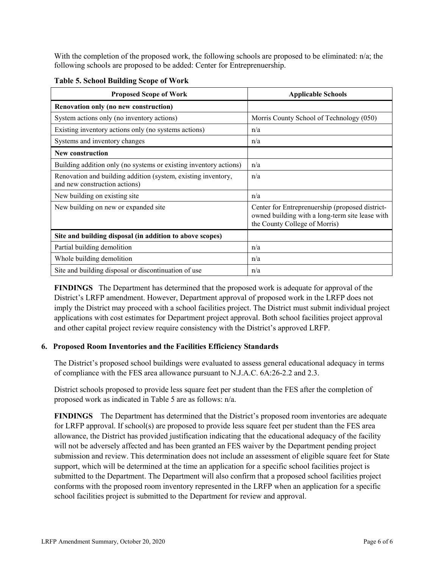With the completion of the proposed work, the following schools are proposed to be eliminated: n/a; the following schools are proposed to be added: Center for Entreprenuership.

| <b>Proposed Scope of Work</b>                                                                  | <b>Applicable Schools</b>                                                                                                           |
|------------------------------------------------------------------------------------------------|-------------------------------------------------------------------------------------------------------------------------------------|
| Renovation only (no new construction)                                                          |                                                                                                                                     |
| System actions only (no inventory actions)                                                     | Morris County School of Technology (050)                                                                                            |
| Existing inventory actions only (no systems actions)                                           | n/a                                                                                                                                 |
| Systems and inventory changes                                                                  | n/a                                                                                                                                 |
| New construction                                                                               |                                                                                                                                     |
| Building addition only (no systems or existing inventory actions)                              | n/a                                                                                                                                 |
| Renovation and building addition (system, existing inventory,<br>and new construction actions) | n/a                                                                                                                                 |
| New building on existing site                                                                  | n/a                                                                                                                                 |
| New building on new or expanded site.                                                          | Center for Entreprenuership (proposed district-<br>owned building with a long-term site lease with<br>the County College of Morris) |
| Site and building disposal (in addition to above scopes)                                       |                                                                                                                                     |
| Partial building demolition                                                                    | n/a                                                                                                                                 |
| Whole building demolition                                                                      | n/a                                                                                                                                 |
| Site and building disposal or discontinuation of use                                           | n/a                                                                                                                                 |

**Table 5. School Building Scope of Work**

**FINDINGS** The Department has determined that the proposed work is adequate for approval of the District's LRFP amendment. However, Department approval of proposed work in the LRFP does not imply the District may proceed with a school facilities project. The District must submit individual project applications with cost estimates for Department project approval. Both school facilities project approval and other capital project review require consistency with the District's approved LRFP.

#### **6. Proposed Room Inventories and the Facilities Efficiency Standards**

The District's proposed school buildings were evaluated to assess general educational adequacy in terms of compliance with the FES area allowance pursuant to N.J.A.C. 6A:26-2.2 and 2.3.

District schools proposed to provide less square feet per student than the FES after the completion of proposed work as indicated in Table 5 are as follows: n/a.

**FINDINGS** The Department has determined that the District's proposed room inventories are adequate for LRFP approval. If school(s) are proposed to provide less square feet per student than the FES area allowance, the District has provided justification indicating that the educational adequacy of the facility will not be adversely affected and has been granted an FES waiver by the Department pending project submission and review. This determination does not include an assessment of eligible square feet for State support, which will be determined at the time an application for a specific school facilities project is submitted to the Department. The Department will also confirm that a proposed school facilities project conforms with the proposed room inventory represented in the LRFP when an application for a specific school facilities project is submitted to the Department for review and approval.